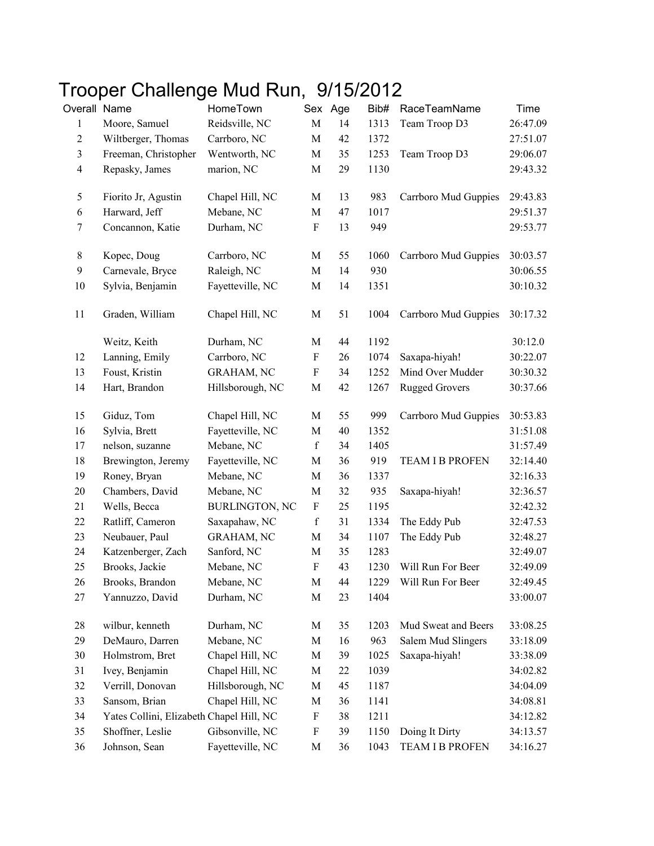## Trooper Challenge Mud Run, 9/15/2012

| Overall Name     |                                          | HomeTown              |                           | Sex Age | Bib# | RaceTeamName           | Time     |
|------------------|------------------------------------------|-----------------------|---------------------------|---------|------|------------------------|----------|
| 1                | Moore, Samuel                            | Reidsville, NC        | $\mathbf M$               | 14      | 1313 | Team Troop D3          | 26:47.09 |
| $\overline{c}$   | Wiltberger, Thomas                       | Carrboro, NC          | $\mathbf M$               | 42      | 1372 |                        | 27:51.07 |
| $\mathfrak{Z}$   | Freeman, Christopher                     | Wentworth, NC         | $\mathbf M$               | 35      | 1253 | Team Troop D3          | 29:06.07 |
| $\overline{4}$   | Repasky, James                           | marion, NC            | $\mathbf M$               | 29      | 1130 |                        | 29:43.32 |
| 5                | Fiorito Jr, Agustin                      | Chapel Hill, NC       | M                         | 13      | 983  | Carrboro Mud Guppies   | 29:43.83 |
| 6                | Harward, Jeff                            | Mebane, NC            | $\mathbf M$               | 47      | 1017 |                        | 29:51.37 |
| 7                | Concannon, Katie                         | Durham, NC            | $\mathbf F$               | 13      | 949  |                        | 29:53.77 |
| $8\,$            | Kopec, Doug                              | Carrboro, NC          | M                         | 55      | 1060 | Carrboro Mud Guppies   | 30:03.57 |
| $\boldsymbol{9}$ | Carnevale, Bryce                         | Raleigh, NC           | $\mathbf M$               | 14      | 930  |                        | 30:06.55 |
| 10               | Sylvia, Benjamin                         | Fayetteville, NC      | $\mathbf M$               | 14      | 1351 |                        | 30:10.32 |
| 11               | Graden, William                          | Chapel Hill, NC       | M                         | 51      | 1004 | Carrboro Mud Guppies   | 30:17.32 |
|                  | Weitz, Keith                             | Durham, NC            | $\mathbf M$               | 44      | 1192 |                        | 30:12.0  |
| 12               | Lanning, Emily                           | Carrboro, NC          | F                         | 26      | 1074 | Saxapa-hiyah!          | 30:22.07 |
| 13               | Foust, Kristin                           | <b>GRAHAM, NC</b>     | $\boldsymbol{\mathrm{F}}$ | 34      | 1252 | Mind Over Mudder       | 30:30.32 |
| 14               | Hart, Brandon                            | Hillsborough, NC      | M                         | 42      | 1267 | <b>Rugged Grovers</b>  | 30:37.66 |
| 15               | Giduz, Tom                               | Chapel Hill, NC       | M                         | 55      | 999  | Carrboro Mud Guppies   | 30:53.83 |
| 16               | Sylvia, Brett                            | Fayetteville, NC      | $\mathbf M$               | 40      | 1352 |                        | 31:51.08 |
| 17               | nelson, suzanne                          | Mebane, NC            | $\mathbf f$               | 34      | 1405 |                        | 31:57.49 |
| 18               | Brewington, Jeremy                       | Fayetteville, NC      | $\mathbf M$               | 36      | 919  | <b>TEAM I B PROFEN</b> | 32:14.40 |
| 19               | Roney, Bryan                             | Mebane, NC            | $\mathbf M$               | 36      | 1337 |                        | 32:16.33 |
| 20               | Chambers, David                          | Mebane, NC            | M                         | 32      | 935  | Saxapa-hiyah!          | 32:36.57 |
| 21               | Wells, Becca                             | <b>BURLINGTON, NC</b> | $\boldsymbol{\mathrm{F}}$ | 25      | 1195 |                        | 32:42.32 |
| 22               | Ratliff, Cameron                         | Saxapahaw, NC         | $\mathbf f$               | 31      | 1334 | The Eddy Pub           | 32:47.53 |
| 23               | Neubauer, Paul                           | <b>GRAHAM, NC</b>     | M                         | 34      | 1107 | The Eddy Pub           | 32:48.27 |
| 24               | Katzenberger, Zach                       | Sanford, NC           | $\mathbf M$               | 35      | 1283 |                        | 32:49.07 |
| 25               | Brooks, Jackie                           | Mebane, NC            | $\rm F$                   | 43      | 1230 | Will Run For Beer      | 32:49.09 |
| 26               | Brooks, Brandon                          | Mebane, NC            | M                         | 44      | 1229 | Will Run For Beer      | 32:49.45 |
| 27               | Yannuzzo, David                          | Durham, NC            | $\mathbf M$               | 23      | 1404 |                        | 33:00.07 |
| 28               | wilbur, kenneth                          | Durham, NC            | M                         | 35      | 1203 | Mud Sweat and Beers    | 33:08.25 |
| 29               | DeMauro, Darren                          | Mebane, NC            | M                         | 16      | 963  | Salem Mud Slingers     | 33:18.09 |
| 30               | Holmstrom, Bret                          | Chapel Hill, NC       | M                         | 39      | 1025 | Saxapa-hiyah!          | 33:38.09 |
| 31               | Ivey, Benjamin                           | Chapel Hill, NC       | M                         | 22      | 1039 |                        | 34:02.82 |
| 32               | Verrill, Donovan                         | Hillsborough, NC      | $\mathbf M$               | 45      | 1187 |                        | 34:04.09 |
| 33               | Sansom, Brian                            | Chapel Hill, NC       | M                         | 36      | 1141 |                        | 34:08.81 |
| 34               | Yates Collini, Elizabeth Chapel Hill, NC |                       | F                         | 38      | 1211 |                        | 34:12.82 |
| 35               | Shoffner, Leslie                         | Gibsonville, NC       | $\boldsymbol{\mathrm{F}}$ | 39      | 1150 | Doing It Dirty         | 34:13.57 |
| 36               | Johnson, Sean                            | Fayetteville, NC      | M                         | 36      | 1043 | <b>TEAM I B PROFEN</b> | 34:16.27 |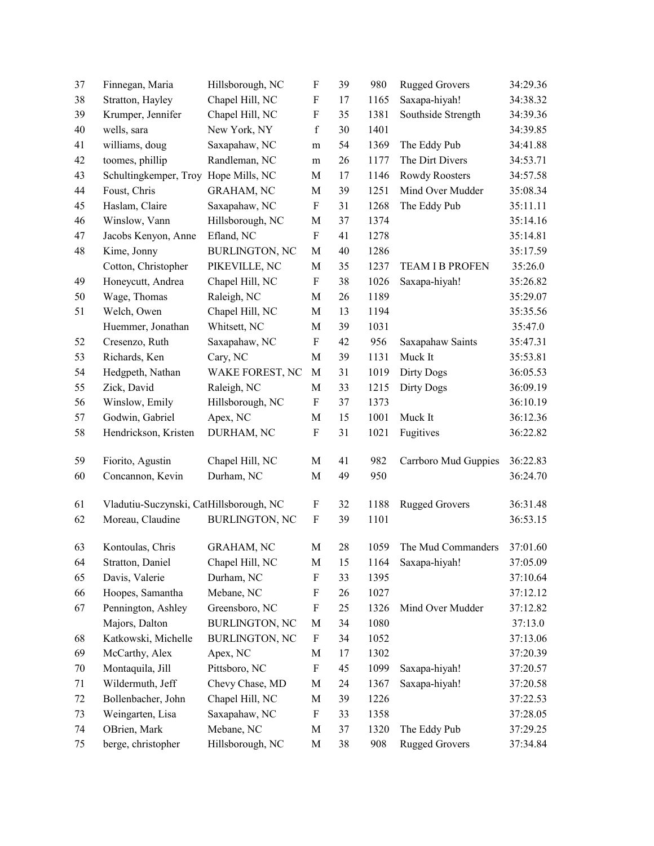| 37 | Finnegan, Maria                         | Hillsborough, NC      | F                         | 39 | 980  | <b>Rugged Grovers</b>  | 34:29.36 |
|----|-----------------------------------------|-----------------------|---------------------------|----|------|------------------------|----------|
| 38 | Stratton, Hayley                        | Chapel Hill, NC       | F                         | 17 | 1165 | Saxapa-hiyah!          | 34:38.32 |
| 39 | Krumper, Jennifer                       | Chapel Hill, NC       | F                         | 35 | 1381 | Southside Strength     | 34:39.36 |
| 40 | wells, sara                             | New York, NY          | $\mathbf f$               | 30 | 1401 |                        | 34:39.85 |
| 41 | williams, doug                          | Saxapahaw, NC         | m                         | 54 | 1369 | The Eddy Pub           | 34:41.88 |
| 42 | toomes, phillip                         | Randleman, NC         | ${\rm m}$                 | 26 | 1177 | The Dirt Divers        | 34:53.71 |
| 43 | Schultingkemper, Troy Hope Mills, NC    |                       | M                         | 17 | 1146 | Rowdy Roosters         | 34:57.58 |
| 44 | Foust, Chris                            | <b>GRAHAM, NC</b>     | $\mathbf M$               | 39 | 1251 | Mind Over Mudder       | 35:08.34 |
| 45 | Haslam, Claire                          | Saxapahaw, NC         | F                         | 31 | 1268 | The Eddy Pub           | 35:11.11 |
| 46 | Winslow, Vann                           | Hillsborough, NC      | M                         | 37 | 1374 |                        | 35:14.16 |
| 47 | Jacobs Kenyon, Anne                     | Efland, NC            | ${\bf F}$                 | 41 | 1278 |                        | 35:14.81 |
| 48 | Kime, Jonny                             | <b>BURLINGTON, NC</b> | M                         | 40 | 1286 |                        | 35:17.59 |
|    | Cotton, Christopher                     | PIKEVILLE, NC         | M                         | 35 | 1237 | <b>TEAM I B PROFEN</b> | 35:26.0  |
| 49 | Honeycutt, Andrea                       | Chapel Hill, NC       | $\boldsymbol{\mathrm{F}}$ | 38 | 1026 | Saxapa-hiyah!          | 35:26.82 |
| 50 | Wage, Thomas                            | Raleigh, NC           | M                         | 26 | 1189 |                        | 35:29.07 |
| 51 | Welch, Owen                             | Chapel Hill, NC       | $\mathbf M$               | 13 | 1194 |                        | 35:35.56 |
|    | Huemmer, Jonathan                       | Whitsett, NC          | $\mathbf M$               | 39 | 1031 |                        | 35:47.0  |
| 52 | Cresenzo, Ruth                          | Saxapahaw, NC         | F                         | 42 | 956  | Saxapahaw Saints       | 35:47.31 |
| 53 | Richards, Ken                           | Cary, NC              | M                         | 39 | 1131 | Muck It                | 35:53.81 |
| 54 | Hedgpeth, Nathan                        | WAKE FOREST, NC       | M                         | 31 | 1019 | Dirty Dogs             | 36:05.53 |
| 55 | Zick, David                             | Raleigh, NC           | M                         | 33 | 1215 | <b>Dirty Dogs</b>      | 36:09.19 |
| 56 | Winslow, Emily                          | Hillsborough, NC      | F                         | 37 | 1373 |                        | 36:10.19 |
| 57 | Godwin, Gabriel                         | Apex, NC              | $\mathbf M$               | 15 | 1001 | Muck It                | 36:12.36 |
| 58 | Hendrickson, Kristen                    | DURHAM, NC            | F                         | 31 | 1021 | Fugitives              | 36:22.82 |
| 59 | Fiorito, Agustin                        | Chapel Hill, NC       | M                         | 41 | 982  | Carrboro Mud Guppies   | 36:22.83 |
| 60 | Concannon, Kevin                        | Durham, NC            | M                         | 49 | 950  |                        | 36:24.70 |
|    |                                         |                       |                           |    |      |                        |          |
| 61 | Vladutiu-Suczynski, CatHillsborough, NC |                       | $\boldsymbol{\mathrm{F}}$ | 32 | 1188 | <b>Rugged Grovers</b>  | 36:31.48 |
| 62 | Moreau, Claudine                        | <b>BURLINGTON, NC</b> | ${\bf F}$                 | 39 | 1101 |                        | 36:53.15 |
| 63 | Kontoulas, Chris                        | <b>GRAHAM, NC</b>     | M                         | 28 | 1059 | The Mud Commanders     | 37:01.60 |
| 64 | Stratton, Daniel                        | Chapel Hill, NC       | $\mathbf M$               | 15 | 1164 | Saxapa-hiyah!          | 37:05.09 |
| 65 | Davis, Valerie                          | Durham, NC            | F                         | 33 | 1395 |                        | 37:10.64 |
| 66 | Hoopes, Samantha                        | Mebane, NC            | F                         | 26 | 1027 |                        | 37:12.12 |
| 67 | Pennington, Ashley                      | Greensboro, NC        | $\boldsymbol{\mathrm{F}}$ | 25 | 1326 | Mind Over Mudder       | 37:12.82 |
|    | Majors, Dalton                          | <b>BURLINGTON, NC</b> | M                         | 34 | 1080 |                        | 37:13.0  |
| 68 | Katkowski, Michelle                     | <b>BURLINGTON, NC</b> | F                         | 34 | 1052 |                        | 37:13.06 |
| 69 | McCarthy, Alex                          | Apex, NC              | M                         | 17 | 1302 |                        | 37:20.39 |
| 70 | Montaquila, Jill                        | Pittsboro, NC         | F                         | 45 | 1099 | Saxapa-hiyah!          | 37:20.57 |
| 71 | Wildermuth, Jeff                        | Chevy Chase, MD       | M                         | 24 | 1367 | Saxapa-hiyah!          | 37:20.58 |
| 72 | Bollenbacher, John                      | Chapel Hill, NC       | M                         | 39 | 1226 |                        | 37:22.53 |
| 73 | Weingarten, Lisa                        | Saxapahaw, NC         | F                         | 33 | 1358 |                        | 37:28.05 |
| 74 | OBrien, Mark                            | Mebane, NC            | M                         | 37 | 1320 | The Eddy Pub           | 37:29.25 |
| 75 | berge, christopher                      | Hillsborough, NC      | M                         | 38 | 908  | <b>Rugged Grovers</b>  | 37:34.84 |
|    |                                         |                       |                           |    |      |                        |          |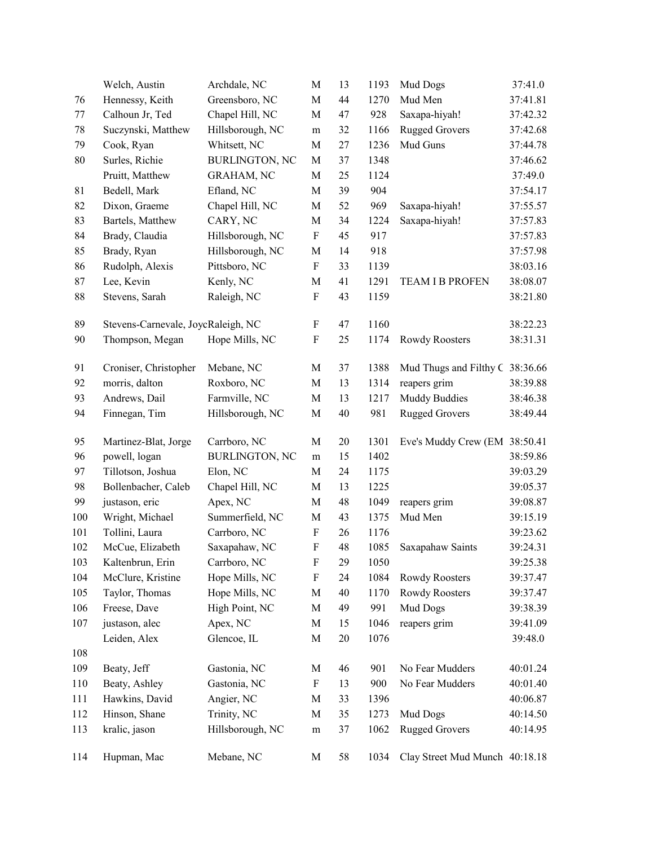|     | Welch, Austin                      | Archdale, NC          | M                         | 13 | 1193 | Mud Dogs                        | 37:41.0  |
|-----|------------------------------------|-----------------------|---------------------------|----|------|---------------------------------|----------|
| 76  | Hennessy, Keith                    | Greensboro, NC        | M                         | 44 | 1270 | Mud Men                         | 37:41.81 |
| 77  | Calhoun Jr, Ted                    | Chapel Hill, NC       | M                         | 47 | 928  | Saxapa-hiyah!                   | 37:42.32 |
| 78  | Suczynski, Matthew                 | Hillsborough, NC      | ${\rm m}$                 | 32 | 1166 | <b>Rugged Grovers</b>           | 37:42.68 |
| 79  | Cook, Ryan                         | Whitsett, NC          | M                         | 27 | 1236 | Mud Guns                        | 37:44.78 |
| 80  | Surles, Richie                     | <b>BURLINGTON, NC</b> | $\mathbf M$               | 37 | 1348 |                                 | 37:46.62 |
|     | Pruitt, Matthew                    | <b>GRAHAM, NC</b>     | M                         | 25 | 1124 |                                 | 37:49.0  |
| 81  | Bedell, Mark                       | Efland, NC            | M                         | 39 | 904  |                                 | 37:54.17 |
| 82  | Dixon, Graeme                      | Chapel Hill, NC       | M                         | 52 | 969  | Saxapa-hiyah!                   | 37:55.57 |
| 83  | Bartels, Matthew                   | CARY, NC              | M                         | 34 | 1224 | Saxapa-hiyah!                   | 37:57.83 |
| 84  | Brady, Claudia                     | Hillsborough, NC      | ${\bf F}$                 | 45 | 917  |                                 | 37:57.83 |
| 85  | Brady, Ryan                        | Hillsborough, NC      | M                         | 14 | 918  |                                 | 37:57.98 |
| 86  | Rudolph, Alexis                    | Pittsboro, NC         | F                         | 33 | 1139 |                                 | 38:03.16 |
| 87  | Lee, Kevin                         | Kenly, NC             | M                         | 41 | 1291 | <b>TEAM I B PROFEN</b>          | 38:08.07 |
| 88  | Stevens, Sarah                     | Raleigh, NC           | ${\bf F}$                 | 43 | 1159 |                                 | 38:21.80 |
| 89  | Stevens-Carnevale, JoycRaleigh, NC |                       | F                         | 47 | 1160 |                                 | 38:22.23 |
| 90  | Thompson, Megan                    | Hope Mills, NC        | F                         | 25 | 1174 | Rowdy Roosters                  | 38:31.31 |
| 91  | Croniser, Christopher              | Mebane, NC            | M                         | 37 | 1388 | Mud Thugs and Filthy C 38:36.66 |          |
| 92  | morris, dalton                     | Roxboro, NC           | $\mathbf M$               | 13 | 1314 | reapers grim                    | 38:39.88 |
| 93  | Andrews, Dail                      | Farmville, NC         | $\mathbf M$               | 13 | 1217 | <b>Muddy Buddies</b>            | 38:46.38 |
| 94  | Finnegan, Tim                      | Hillsborough, NC      | M                         | 40 | 981  | <b>Rugged Grovers</b>           | 38:49.44 |
| 95  | Martinez-Blat, Jorge               | Carrboro, NC          | M                         | 20 | 1301 | Eve's Muddy Crew (EM            | 38:50.41 |
| 96  | powell, logan                      | <b>BURLINGTON, NC</b> | m                         | 15 | 1402 |                                 | 38:59.86 |
| 97  | Tillotson, Joshua                  | Elon, NC              | M                         | 24 | 1175 |                                 | 39:03.29 |
| 98  | Bollenbacher, Caleb                | Chapel Hill, NC       | M                         | 13 | 1225 |                                 | 39:05.37 |
| 99  | justason, eric                     | Apex, NC              | M                         | 48 | 1049 | reapers grim                    | 39:08.87 |
| 100 | Wright, Michael                    | Summerfield, NC       | M                         | 43 | 1375 | Mud Men                         | 39:15.19 |
| 101 | Tollini, Laura                     | Carrboro, NC          | $\boldsymbol{\mathrm{F}}$ | 26 | 1176 |                                 | 39:23.62 |
| 102 | McCue, Elizabeth                   | Saxapahaw, NC         | ${\bf F}$                 | 48 | 1085 | Saxapahaw Saints                | 39:24.31 |
| 103 | Kaltenbrun, Erin                   | Carrboro, NC          | F                         | 29 | 1050 |                                 | 39:25.38 |
| 104 | McClure, Kristine                  | Hope Mills, NC        | ${\bf F}$                 | 24 | 1084 | Rowdy Roosters                  | 39:37.47 |
| 105 | Taylor, Thomas                     | Hope Mills, NC        | M                         | 40 | 1170 | Rowdy Roosters                  | 39:37.47 |
| 106 | Freese, Dave                       | High Point, NC        | M                         | 49 | 991  | Mud Dogs                        | 39:38.39 |
| 107 | justason, alec                     | Apex, NC              | M                         | 15 | 1046 | reapers grim                    | 39:41.09 |
|     | Leiden, Alex                       | Glencoe, IL           | M                         | 20 | 1076 |                                 | 39:48.0  |
| 108 |                                    |                       |                           |    |      |                                 |          |
| 109 | Beaty, Jeff                        | Gastonia, NC          | M                         | 46 | 901  | No Fear Mudders                 | 40:01.24 |
| 110 | Beaty, Ashley                      | Gastonia, NC          | F                         | 13 | 900  | No Fear Mudders                 | 40:01.40 |
| 111 | Hawkins, David                     | Angier, NC            | M                         | 33 | 1396 |                                 | 40:06.87 |
| 112 | Hinson, Shane                      | Trinity, NC           | M                         | 35 | 1273 | Mud Dogs                        | 40:14.50 |
| 113 | kralic, jason                      | Hillsborough, NC      | ${\rm m}$                 | 37 | 1062 | <b>Rugged Grovers</b>           | 40:14.95 |
| 114 | Hupman, Mac                        | Mebane, NC            | M                         | 58 | 1034 | Clay Street Mud Munch 40:18.18  |          |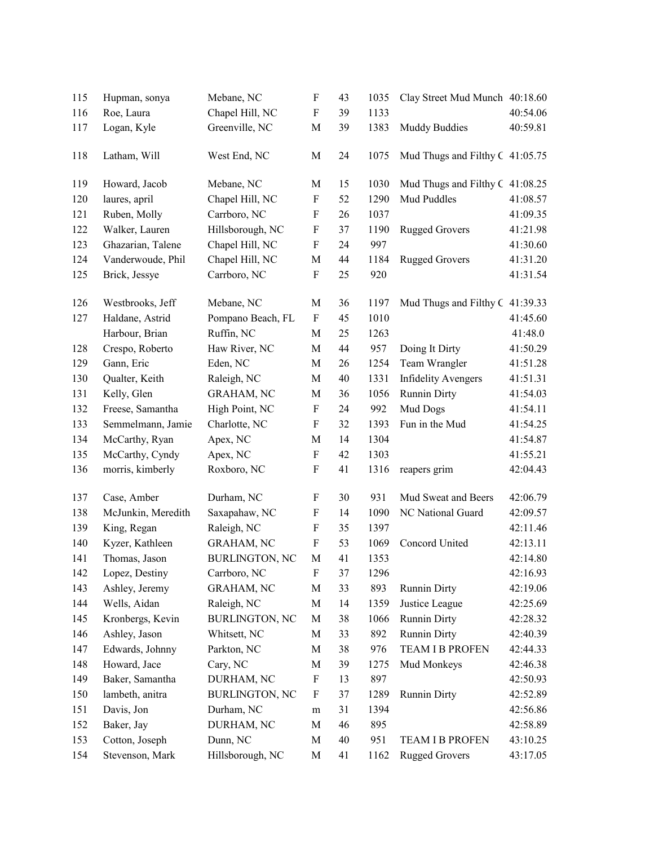| 115 | Hupman, sonya      | Mebane, NC            | $\boldsymbol{\mathrm{F}}$ | 43 | 1035 | Clay Street Mud Munch 40:18.60  |          |
|-----|--------------------|-----------------------|---------------------------|----|------|---------------------------------|----------|
| 116 | Roe, Laura         | Chapel Hill, NC       | $\boldsymbol{\mathrm{F}}$ | 39 | 1133 |                                 | 40:54.06 |
| 117 | Logan, Kyle        | Greenville, NC        | M                         | 39 | 1383 | <b>Muddy Buddies</b>            | 40:59.81 |
| 118 | Latham, Will       | West End, NC          | $\mathbf M$               | 24 | 1075 | Mud Thugs and Filthy C 41:05.75 |          |
| 119 | Howard, Jacob      | Mebane, NC            | M                         | 15 | 1030 | Mud Thugs and Filthy C 41:08.25 |          |
| 120 | laures, april      | Chapel Hill, NC       | $\boldsymbol{\mathrm{F}}$ | 52 | 1290 | Mud Puddles                     | 41:08.57 |
| 121 | Ruben, Molly       | Carrboro, NC          | F                         | 26 | 1037 |                                 | 41:09.35 |
| 122 | Walker, Lauren     | Hillsborough, NC      | $\boldsymbol{\mathrm{F}}$ | 37 | 1190 | <b>Rugged Grovers</b>           | 41:21.98 |
| 123 | Ghazarian, Talene  | Chapel Hill, NC       | $\boldsymbol{\mathrm{F}}$ | 24 | 997  |                                 | 41:30.60 |
| 124 | Vanderwoude, Phil  | Chapel Hill, NC       | $\mathbf M$               | 44 | 1184 | <b>Rugged Grovers</b>           | 41:31.20 |
| 125 | Brick, Jessye      | Carrboro, NC          | ${\bf F}$                 | 25 | 920  |                                 | 41:31.54 |
| 126 | Westbrooks, Jeff   | Mebane, NC            | M                         | 36 | 1197 | Mud Thugs and Filthy C          | 41:39.33 |
| 127 | Haldane, Astrid    | Pompano Beach, FL     | $\mathbf F$               | 45 | 1010 |                                 | 41:45.60 |
|     | Harbour, Brian     | Ruffin, NC            | M                         | 25 | 1263 |                                 | 41:48.0  |
| 128 | Crespo, Roberto    | Haw River, NC         | M                         | 44 | 957  | Doing It Dirty                  | 41:50.29 |
| 129 | Gann, Eric         | Eden, NC              | $\mathbf M$               | 26 | 1254 | Team Wrangler                   | 41:51.28 |
| 130 | Qualter, Keith     | Raleigh, NC           | M                         | 40 | 1331 | <b>Infidelity Avengers</b>      | 41:51.31 |
| 131 | Kelly, Glen        | GRAHAM, NC            | M                         | 36 | 1056 | <b>Runnin Dirty</b>             | 41:54.03 |
| 132 | Freese, Samantha   | High Point, NC        | $\boldsymbol{\mathrm{F}}$ | 24 | 992  | Mud Dogs                        | 41:54.11 |
| 133 | Semmelmann, Jamie  | Charlotte, NC         | F                         | 32 | 1393 | Fun in the Mud                  | 41:54.25 |
| 134 | McCarthy, Ryan     | Apex, NC              | $\mathbf M$               | 14 | 1304 |                                 | 41:54.87 |
| 135 | McCarthy, Cyndy    | Apex, NC              | ${\bf F}$                 | 42 | 1303 |                                 | 41:55.21 |
| 136 | morris, kimberly   | Roxboro, NC           | F                         | 41 | 1316 | reapers grim                    | 42:04.43 |
| 137 | Case, Amber        | Durham, NC            | F                         | 30 | 931  | Mud Sweat and Beers             | 42:06.79 |
| 138 | McJunkin, Meredith | Saxapahaw, NC         | $\boldsymbol{\mathrm{F}}$ | 14 | 1090 | NC National Guard               | 42:09.57 |
| 139 | King, Regan        | Raleigh, NC           | $\boldsymbol{\mathrm{F}}$ | 35 | 1397 |                                 | 42:11.46 |
| 140 | Kyzer, Kathleen    | <b>GRAHAM, NC</b>     | $\boldsymbol{\mathrm{F}}$ | 53 | 1069 | Concord United                  | 42:13.11 |
| 141 | Thomas, Jason      | <b>BURLINGTON, NC</b> | M                         | 41 | 1353 |                                 | 42:14.80 |
| 142 | Lopez, Destiny     | Carrboro, NC          | F                         | 37 | 1296 |                                 | 42:16.93 |
| 143 | Ashley, Jeremy     | <b>GRAHAM, NC</b>     | $\mathbf M$               | 33 | 893  | <b>Runnin Dirty</b>             | 42:19.06 |
| 144 | Wells, Aidan       | Raleigh, NC           | M                         | 14 | 1359 | Justice League                  | 42:25.69 |
| 145 | Kronbergs, Kevin   | <b>BURLINGTON, NC</b> | M                         | 38 | 1066 | <b>Runnin Dirty</b>             | 42:28.32 |
| 146 | Ashley, Jason      | Whitsett, NC          | M                         | 33 | 892  | <b>Runnin Dirty</b>             | 42:40.39 |
| 147 | Edwards, Johnny    | Parkton, NC           | M                         | 38 | 976  | <b>TEAM I B PROFEN</b>          | 42:44.33 |
| 148 | Howard, Jace       | Cary, NC              | M                         | 39 | 1275 | Mud Monkeys                     | 42:46.38 |
| 149 | Baker, Samantha    | DURHAM, NC            | $\boldsymbol{\mathrm{F}}$ | 13 | 897  |                                 | 42:50.93 |
| 150 | lambeth, anitra    | <b>BURLINGTON, NC</b> | F                         | 37 | 1289 | <b>Runnin Dirty</b>             | 42:52.89 |
| 151 | Davis, Jon         | Durham, NC            | m                         | 31 | 1394 |                                 | 42:56.86 |
| 152 | Baker, Jay         | DURHAM, NC            | M                         | 46 | 895  |                                 | 42:58.89 |
| 153 | Cotton, Joseph     | Dunn, NC              | M                         | 40 | 951  | <b>TEAM I B PROFEN</b>          | 43:10.25 |
| 154 | Stevenson, Mark    | Hillsborough, NC      | $\mathbf M$               | 41 | 1162 | <b>Rugged Grovers</b>           | 43:17.05 |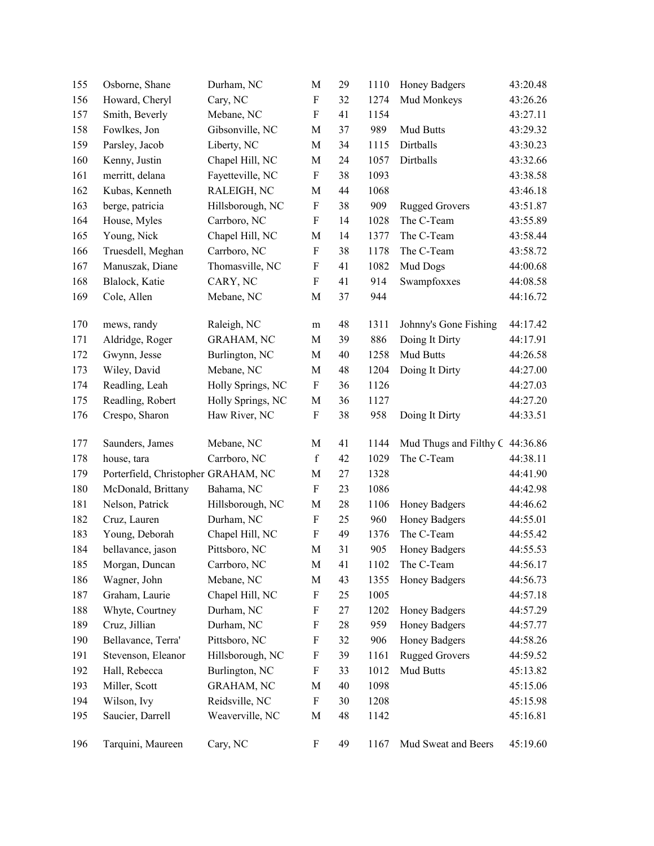| 155 | Osborne, Shane                      | Durham, NC        | $\mathbf M$               | 29 | 1110 | Honey Badgers                   | 43:20.48 |
|-----|-------------------------------------|-------------------|---------------------------|----|------|---------------------------------|----------|
| 156 | Howard, Cheryl                      | Cary, NC          | $\boldsymbol{\mathrm{F}}$ | 32 | 1274 | Mud Monkeys                     | 43:26.26 |
| 157 | Smith, Beverly                      | Mebane, NC        | $\boldsymbol{F}$          | 41 | 1154 |                                 | 43:27.11 |
| 158 | Fowlkes, Jon                        | Gibsonville, NC   | M                         | 37 | 989  | Mud Butts                       | 43:29.32 |
| 159 | Parsley, Jacob                      | Liberty, NC       | $\mathbf M$               | 34 | 1115 | Dirtballs                       | 43:30.23 |
| 160 | Kenny, Justin                       | Chapel Hill, NC   | $\mathbf M$               | 24 | 1057 | Dirtballs                       | 43:32.66 |
| 161 | merritt, delana                     | Fayetteville, NC  | $\boldsymbol{\mathrm{F}}$ | 38 | 1093 |                                 | 43:38.58 |
| 162 | Kubas, Kenneth                      | RALEIGH, NC       | $\mathbf M$               | 44 | 1068 |                                 | 43:46.18 |
| 163 | berge, patricia                     | Hillsborough, NC  | $\boldsymbol{\mathrm{F}}$ | 38 | 909  | <b>Rugged Grovers</b>           | 43:51.87 |
| 164 | House, Myles                        | Carrboro, NC      | $\mathbf F$               | 14 | 1028 | The C-Team                      | 43:55.89 |
| 165 | Young, Nick                         | Chapel Hill, NC   | $\mathbf M$               | 14 | 1377 | The C-Team                      | 43:58.44 |
| 166 | Truesdell, Meghan                   | Carrboro, NC      | ${\bf F}$                 | 38 | 1178 | The C-Team                      | 43:58.72 |
| 167 | Manuszak, Diane                     | Thomasville, NC   | $\boldsymbol{\mathrm{F}}$ | 41 | 1082 | Mud Dogs                        | 44:00.68 |
| 168 | Blalock, Katie                      | CARY, NC          | $\boldsymbol{F}$          | 41 | 914  | Swampfoxxes                     | 44:08.58 |
| 169 | Cole, Allen                         | Mebane, NC        | $\mathbf M$               | 37 | 944  |                                 | 44:16.72 |
| 170 | mews, randy                         | Raleigh, NC       | m                         | 48 | 1311 | Johnny's Gone Fishing           | 44:17.42 |
| 171 | Aldridge, Roger                     | <b>GRAHAM, NC</b> | $\mathbf M$               | 39 | 886  | Doing It Dirty                  | 44:17.91 |
| 172 | Gwynn, Jesse                        | Burlington, NC    | M                         | 40 | 1258 | Mud Butts                       | 44:26.58 |
| 173 | Wiley, David                        | Mebane, NC        | M                         | 48 | 1204 | Doing It Dirty                  | 44:27.00 |
| 174 | Readling, Leah                      | Holly Springs, NC | $\boldsymbol{\mathrm{F}}$ | 36 | 1126 |                                 | 44:27.03 |
| 175 | Readling, Robert                    | Holly Springs, NC | $\mathbf M$               | 36 | 1127 |                                 | 44:27.20 |
| 176 | Crespo, Sharon                      | Haw River, NC     | $\boldsymbol{\mathrm{F}}$ | 38 | 958  | Doing It Dirty                  | 44:33.51 |
| 177 | Saunders, James                     | Mebane, NC        | $\mathbf M$               | 41 | 1144 | Mud Thugs and Filthy C 44:36.86 |          |
| 178 | house, tara                         | Carrboro, NC      | $\mathbf f$               | 42 | 1029 | The C-Team                      | 44:38.11 |
| 179 | Porterfield, Christopher GRAHAM, NC |                   | M                         | 27 | 1328 |                                 | 44:41.90 |
| 180 | McDonald, Brittany                  | Bahama, NC        | $\boldsymbol{\mathrm{F}}$ | 23 | 1086 |                                 | 44:42.98 |
| 181 | Nelson, Patrick                     | Hillsborough, NC  | $\mathbf M$               | 28 | 1106 | <b>Honey Badgers</b>            | 44:46.62 |
| 182 | Cruz, Lauren                        | Durham, NC        | $\boldsymbol{\mathrm{F}}$ | 25 | 960  | <b>Honey Badgers</b>            | 44:55.01 |
| 183 | Young, Deborah                      | Chapel Hill, NC   | ${\bf F}$                 | 49 | 1376 | The C-Team                      | 44:55.42 |
| 184 | bellavance, jason                   | Pittsboro, NC     | $\mathbf M$               | 31 | 905  | <b>Honey Badgers</b>            | 44:55.53 |
| 185 | Morgan, Duncan                      | Carrboro, NC      | $\mathbf M$               | 41 | 1102 | The C-Team                      | 44:56.17 |
| 186 | Wagner, John                        | Mebane, NC        | M                         | 43 | 1355 | Honey Badgers                   | 44:56.73 |
| 187 | Graham, Laurie                      | Chapel Hill, NC   | $\boldsymbol{\mathrm{F}}$ | 25 | 1005 |                                 | 44:57.18 |
| 188 | Whyte, Courtney                     | Durham, NC        | $\mathbf F$               | 27 | 1202 | Honey Badgers                   | 44:57.29 |
| 189 | Cruz, Jillian                       | Durham, NC        | $\mathbf F$               | 28 | 959  | Honey Badgers                   | 44:57.77 |
| 190 | Bellavance, Terra'                  | Pittsboro, NC     | $\mathbf F$               | 32 | 906  | Honey Badgers                   | 44:58.26 |
| 191 | Stevenson, Eleanor                  | Hillsborough, NC  | $\boldsymbol{\mathrm{F}}$ | 39 | 1161 | <b>Rugged Grovers</b>           | 44:59.52 |
| 192 | Hall, Rebecca                       | Burlington, NC    | F                         | 33 | 1012 | Mud Butts                       | 45:13.82 |
| 193 | Miller, Scott                       | <b>GRAHAM, NC</b> | M                         | 40 | 1098 |                                 | 45:15.06 |
| 194 | Wilson, Ivy                         | Reidsville, NC    | $\boldsymbol{\mathrm{F}}$ | 30 | 1208 |                                 | 45:15.98 |
| 195 | Saucier, Darrell                    | Weaverville, NC   | $\mathbf M$               | 48 | 1142 |                                 | 45:16.81 |
| 196 | Tarquini, Maureen                   | Cary, NC          | $\boldsymbol{\mathrm{F}}$ | 49 | 1167 | Mud Sweat and Beers             | 45:19.60 |
|     |                                     |                   |                           |    |      |                                 |          |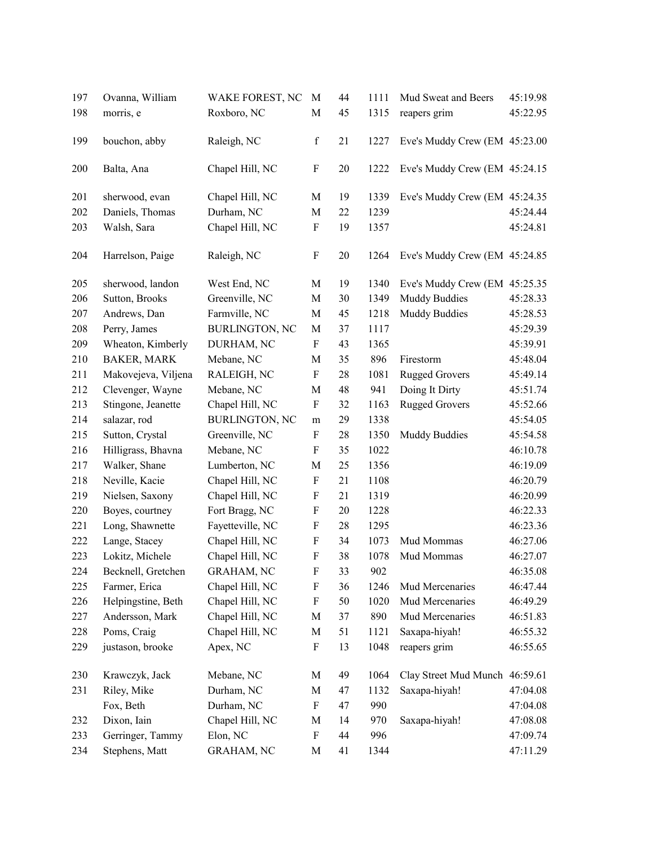| 197 | Ovanna, William     | WAKE FOREST, NC       | M                         | 44 | 1111 | Mud Sweat and Beers            | 45:19.98 |
|-----|---------------------|-----------------------|---------------------------|----|------|--------------------------------|----------|
| 198 | morris, e           | Roxboro, NC           | $\mathbf M$               | 45 | 1315 | reapers grim                   | 45:22.95 |
| 199 | bouchon, abby       | Raleigh, NC           | $\mathbf f$               | 21 | 1227 | Eve's Muddy Crew (EM 45:23.00  |          |
| 200 | Balta, Ana          | Chapel Hill, NC       | $\boldsymbol{\mathrm{F}}$ | 20 | 1222 | Eve's Muddy Crew (EM 45:24.15  |          |
| 201 | sherwood, evan      | Chapel Hill, NC       | M                         | 19 | 1339 | Eve's Muddy Crew (EM 45:24.35  |          |
| 202 | Daniels, Thomas     | Durham, NC            | $\mathbf M$               | 22 | 1239 |                                | 45:24.44 |
| 203 | Walsh, Sara         | Chapel Hill, NC       | ${\bf F}$                 | 19 | 1357 |                                | 45:24.81 |
| 204 | Harrelson, Paige    | Raleigh, NC           | $\boldsymbol{\mathrm{F}}$ | 20 | 1264 | Eve's Muddy Crew (EM 45:24.85  |          |
| 205 | sherwood, landon    | West End, NC          | M                         | 19 | 1340 | Eve's Muddy Crew (EM 45:25.35  |          |
| 206 | Sutton, Brooks      | Greenville, NC        | $\mathbf M$               | 30 | 1349 | <b>Muddy Buddies</b>           | 45:28.33 |
| 207 | Andrews, Dan        | Farmville, NC         | $\mathbf M$               | 45 | 1218 | <b>Muddy Buddies</b>           | 45:28.53 |
| 208 | Perry, James        | <b>BURLINGTON, NC</b> | M                         | 37 | 1117 |                                | 45:29.39 |
| 209 | Wheaton, Kimberly   | DURHAM, NC            | $\boldsymbol{\mathrm{F}}$ | 43 | 1365 |                                | 45:39.91 |
| 210 | <b>BAKER, MARK</b>  | Mebane, NC            | M                         | 35 | 896  | Firestorm                      | 45:48.04 |
| 211 | Makovejeva, Viljena | RALEIGH, NC           | $\boldsymbol{\mathrm{F}}$ | 28 | 1081 | <b>Rugged Grovers</b>          | 45:49.14 |
| 212 | Clevenger, Wayne    | Mebane, NC            | $\mathbf M$               | 48 | 941  | Doing It Dirty                 | 45:51.74 |
| 213 | Stingone, Jeanette  | Chapel Hill, NC       | $\boldsymbol{\mathrm{F}}$ | 32 | 1163 | <b>Rugged Grovers</b>          | 45:52.66 |
| 214 | salazar, rod        | <b>BURLINGTON, NC</b> | m                         | 29 | 1338 |                                | 45:54.05 |
| 215 | Sutton, Crystal     | Greenville, NC        | $\boldsymbol{\mathrm{F}}$ | 28 | 1350 | <b>Muddy Buddies</b>           | 45:54.58 |
| 216 | Hilligrass, Bhavna  | Mebane, NC            | $\boldsymbol{\mathrm{F}}$ | 35 | 1022 |                                | 46:10.78 |
| 217 | Walker, Shane       | Lumberton, NC         | $\mathbf M$               | 25 | 1356 |                                | 46:19.09 |
| 218 | Neville, Kacie      | Chapel Hill, NC       | $\boldsymbol{\mathrm{F}}$ | 21 | 1108 |                                | 46:20.79 |
| 219 | Nielsen, Saxony     | Chapel Hill, NC       | F                         | 21 | 1319 |                                | 46:20.99 |
| 220 | Boyes, courtney     | Fort Bragg, NC        | $\boldsymbol{\mathrm{F}}$ | 20 | 1228 |                                | 46:22.33 |
| 221 | Long, Shawnette     | Fayetteville, NC      | $\boldsymbol{\mathrm{F}}$ | 28 | 1295 |                                | 46:23.36 |
| 222 | Lange, Stacey       | Chapel Hill, NC       | $\boldsymbol{\mathrm{F}}$ | 34 | 1073 | Mud Mommas                     | 46:27.06 |
| 223 | Lokitz, Michele     | Chapel Hill, NC       | ${\bf F}$                 | 38 | 1078 | Mud Mommas                     | 46:27.07 |
| 224 | Becknell, Gretchen  | <b>GRAHAM, NC</b>     | $\boldsymbol{\mathrm{F}}$ | 33 | 902  |                                | 46:35.08 |
| 225 | Farmer, Erica       | Chapel Hill, NC       | $\boldsymbol{\mathrm{F}}$ | 36 | 1246 | Mud Mercenaries                | 46:47.44 |
| 226 | Helpingstine, Beth  | Chapel Hill, NC       | $\boldsymbol{\mathrm{F}}$ | 50 | 1020 | Mud Mercenaries                | 46:49.29 |
| 227 | Andersson, Mark     | Chapel Hill, NC       | M                         | 37 | 890  | Mud Mercenaries                | 46:51.83 |
| 228 | Poms, Craig         | Chapel Hill, NC       | M                         | 51 | 1121 | Saxapa-hiyah!                  | 46:55.32 |
| 229 | justason, brooke    | Apex, NC              | $\boldsymbol{\mathrm{F}}$ | 13 | 1048 | reapers grim                   | 46:55.65 |
| 230 | Krawczyk, Jack      | Mebane, NC            | M                         | 49 | 1064 | Clay Street Mud Munch 46:59.61 |          |
| 231 | Riley, Mike         | Durham, NC            | M                         | 47 | 1132 | Saxapa-hiyah!                  | 47:04.08 |
|     | Fox, Beth           | Durham, NC            | F                         | 47 | 990  |                                | 47:04.08 |
| 232 | Dixon, Iain         | Chapel Hill, NC       | M                         | 14 | 970  | Saxapa-hiyah!                  | 47:08.08 |
| 233 | Gerringer, Tammy    | Elon, NC              | $\boldsymbol{\mathrm{F}}$ | 44 | 996  |                                | 47:09.74 |
| 234 | Stephens, Matt      | <b>GRAHAM, NC</b>     | $\mathbf M$               | 41 | 1344 |                                | 47:11.29 |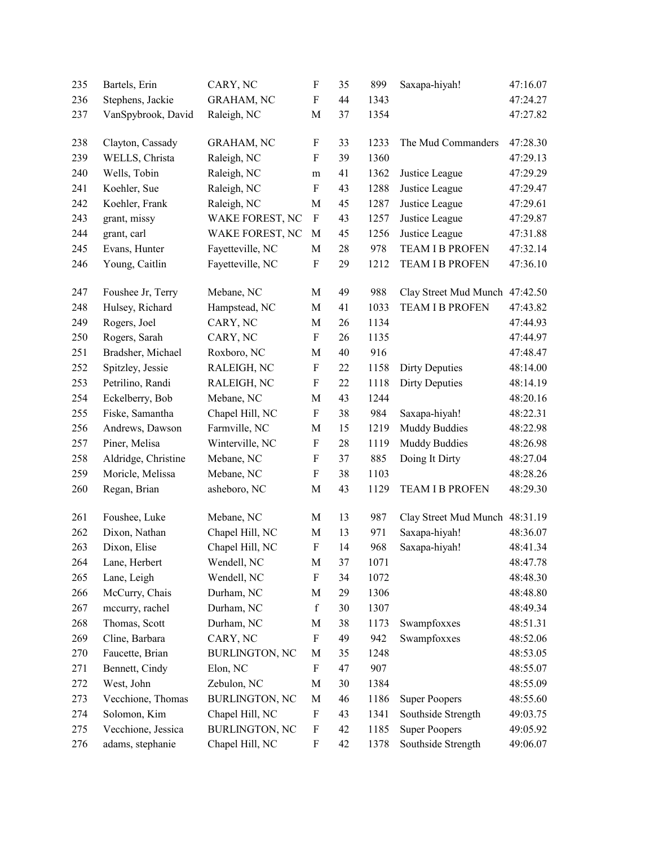| 235 | Bartels, Erin       | CARY, NC              | F                         | 35     | 899  | Saxapa-hiyah!                  | 47:16.07 |
|-----|---------------------|-----------------------|---------------------------|--------|------|--------------------------------|----------|
| 236 | Stephens, Jackie    | <b>GRAHAM, NC</b>     | $\mathbf F$               | 44     | 1343 |                                | 47:24.27 |
| 237 | VanSpybrook, David  | Raleigh, NC           | $\mathbf M$               | 37     | 1354 |                                | 47:27.82 |
|     |                     |                       |                           |        |      |                                | 47:28.30 |
| 238 | Clayton, Cassady    | <b>GRAHAM, NC</b>     | $\boldsymbol{F}$          | 33     | 1233 | The Mud Commanders             |          |
| 239 | WELLS, Christa      | Raleigh, NC           | $\boldsymbol{F}$          | 39     | 1360 |                                | 47:29.13 |
| 240 | Wells, Tobin        | Raleigh, NC           | m                         | 41     | 1362 | Justice League                 | 47:29.29 |
| 241 | Koehler, Sue        | Raleigh, NC           | $\boldsymbol{\mathrm{F}}$ | 43     | 1288 | Justice League                 | 47:29.47 |
| 242 | Koehler, Frank      | Raleigh, NC           | M                         | 45     | 1287 | Justice League                 | 47:29.61 |
| 243 | grant, missy        | WAKE FOREST, NC       | $\boldsymbol{\mathrm{F}}$ | 43     | 1257 | Justice League                 | 47:29.87 |
| 244 | grant, carl         | WAKE FOREST, NC       | $\mathbf M$               | 45     | 1256 | Justice League                 | 47:31.88 |
| 245 | Evans, Hunter       | Fayetteville, NC      | $\mathbf M$               | 28     | 978  | <b>TEAM I B PROFEN</b>         | 47:32.14 |
| 246 | Young, Caitlin      | Fayetteville, NC      | $\boldsymbol{\mathrm{F}}$ | 29     | 1212 | TEAM I B PROFEN                | 47:36.10 |
| 247 | Foushee Jr, Terry   | Mebane, NC            | M                         | 49     | 988  | Clay Street Mud Munch          | 47:42.50 |
| 248 | Hulsey, Richard     | Hampstead, NC         | M                         | 41     | 1033 | <b>TEAM I B PROFEN</b>         | 47:43.82 |
| 249 | Rogers, Joel        | CARY, NC              | $\mathbf M$               | 26     | 1134 |                                | 47:44.93 |
| 250 | Rogers, Sarah       | CARY, NC              | $\mathbf F$               | 26     | 1135 |                                | 47:44.97 |
| 251 | Bradsher, Michael   | Roxboro, NC           | $\mathbf M$               | $40\,$ | 916  |                                | 47:48.47 |
| 252 | Spitzley, Jessie    | RALEIGH, NC           | $\boldsymbol{\mathrm{F}}$ | 22     | 1158 | <b>Dirty Deputies</b>          | 48:14.00 |
| 253 | Petrilino, Randi    | RALEIGH, NC           | $\boldsymbol{\mathrm{F}}$ | 22     | 1118 | <b>Dirty Deputies</b>          | 48:14.19 |
| 254 | Eckelberry, Bob     | Mebane, NC            | M                         | 43     | 1244 |                                | 48:20.16 |
| 255 | Fiske, Samantha     | Chapel Hill, NC       | ${\bf F}$                 | 38     | 984  | Saxapa-hiyah!                  | 48:22.31 |
| 256 | Andrews, Dawson     | Farmville, NC         | $\mathbf M$               | 15     | 1219 | <b>Muddy Buddies</b>           | 48:22.98 |
| 257 | Piner, Melisa       | Winterville, NC       | $\boldsymbol{\mathrm{F}}$ | 28     | 1119 | <b>Muddy Buddies</b>           | 48:26.98 |
| 258 | Aldridge, Christine | Mebane, NC            | F                         | 37     | 885  | Doing It Dirty                 | 48:27.04 |
| 259 | Moricle, Melissa    | Mebane, NC            | $\boldsymbol{\mathrm{F}}$ | 38     | 1103 |                                | 48:28.26 |
| 260 | Regan, Brian        | asheboro, NC          | $\mathbf M$               | 43     | 1129 | <b>TEAM I B PROFEN</b>         | 48:29.30 |
|     |                     |                       |                           |        |      |                                |          |
| 261 | Foushee, Luke       | Mebane, NC            | M                         | 13     | 987  | Clay Street Mud Munch 48:31.19 |          |
| 262 | Dixon, Nathan       | Chapel Hill, NC       | $\mathbf M$               | 13     | 971  | Saxapa-hiyah!                  | 48:36.07 |
| 263 | Dixon, Elise        | Chapel Hill, NC       | ${\bf F}$                 | 14     | 968  | Saxapa-hiyah!                  | 48:41.34 |
| 264 | Lane, Herbert       | Wendell, NC           | M                         | 37     | 1071 |                                | 48:47.78 |
| 265 | Lane, Leigh         | Wendell, NC           | $\boldsymbol{\mathrm{F}}$ | 34     | 1072 |                                | 48:48.30 |
| 266 | McCurry, Chais      | Durham, NC            | M                         | 29     | 1306 |                                | 48:48.80 |
| 267 | mccurry, rachel     | Durham, NC            | $\mathbf f$               | 30     | 1307 |                                | 48:49.34 |
| 268 | Thomas, Scott       | Durham, NC            | M                         | 38     | 1173 | Swampfoxxes                    | 48:51.31 |
| 269 | Cline, Barbara      | CARY, NC              | $\boldsymbol{\mathrm{F}}$ | 49     | 942  | Swampfoxxes                    | 48:52.06 |
| 270 | Faucette, Brian     | <b>BURLINGTON, NC</b> | M                         | 35     | 1248 |                                | 48:53.05 |
| 271 | Bennett, Cindy      | Elon, NC              | F                         | 47     | 907  |                                | 48:55.07 |
| 272 | West, John          | Zebulon, NC           | M                         | 30     | 1384 |                                | 48:55.09 |
| 273 | Vecchione, Thomas   | <b>BURLINGTON, NC</b> | M                         | 46     | 1186 | <b>Super Poopers</b>           | 48:55.60 |
| 274 | Solomon, Kim        | Chapel Hill, NC       | $\boldsymbol{\mathrm{F}}$ | 43     | 1341 | Southside Strength             | 49:03.75 |
| 275 | Vecchione, Jessica  | <b>BURLINGTON, NC</b> | $\boldsymbol{\mathrm{F}}$ | 42     | 1185 | <b>Super Poopers</b>           | 49:05.92 |
| 276 | adams, stephanie    | Chapel Hill, NC       | F                         | 42     | 1378 | Southside Strength             | 49:06.07 |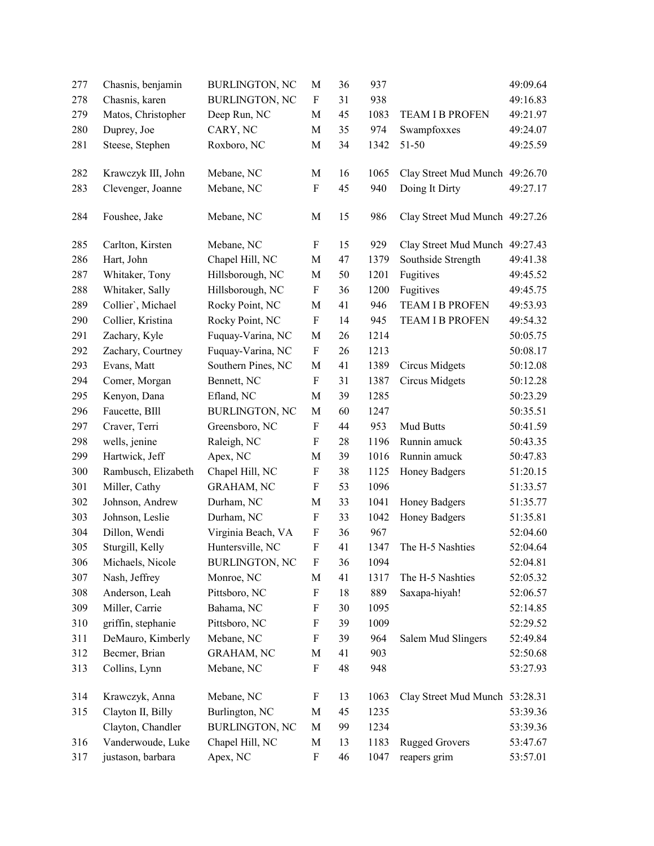| 277 | Chasnis, benjamin   | <b>BURLINGTON, NC</b> | M                         | 36     | 937  |                                | 49:09.64 |
|-----|---------------------|-----------------------|---------------------------|--------|------|--------------------------------|----------|
| 278 | Chasnis, karen      | <b>BURLINGTON, NC</b> | $\boldsymbol{\mathrm{F}}$ | 31     | 938  |                                | 49:16.83 |
| 279 | Matos, Christopher  | Deep Run, NC          | M                         | 45     | 1083 | <b>TEAM I B PROFEN</b>         | 49:21.97 |
| 280 | Duprey, Joe         | CARY, NC              | M                         | 35     | 974  | Swampfoxxes                    | 49:24.07 |
| 281 | Steese, Stephen     | Roxboro, NC           | M                         | 34     | 1342 | 51-50                          | 49:25.59 |
| 282 | Krawczyk III, John  | Mebane, NC            | M                         | 16     | 1065 | Clay Street Mud Munch 49:26.70 |          |
| 283 | Clevenger, Joanne   | Mebane, NC            | $\mathbf F$               | 45     | 940  | Doing It Dirty                 | 49:27.17 |
| 284 | Foushee, Jake       | Mebane, NC            | M                         | 15     | 986  | Clay Street Mud Munch 49:27.26 |          |
| 285 | Carlton, Kirsten    | Mebane, NC            | F                         | 15     | 929  | Clay Street Mud Munch 49:27.43 |          |
| 286 | Hart, John          | Chapel Hill, NC       | M                         | 47     | 1379 | Southside Strength             | 49:41.38 |
| 287 | Whitaker, Tony      | Hillsborough, NC      | M                         | 50     | 1201 | Fugitives                      | 49:45.52 |
| 288 | Whitaker, Sally     | Hillsborough, NC      | $\boldsymbol{\mathrm{F}}$ | 36     | 1200 | Fugitives                      | 49:45.75 |
| 289 | Collier', Michael   | Rocky Point, NC       | M                         | 41     | 946  | <b>TEAM I B PROFEN</b>         | 49:53.93 |
| 290 | Collier, Kristina   | Rocky Point, NC       | $\boldsymbol{\mathrm{F}}$ | 14     | 945  | TEAM I B PROFEN                | 49:54.32 |
| 291 | Zachary, Kyle       | Fuquay-Varina, NC     | $\mathbf M$               | 26     | 1214 |                                | 50:05.75 |
| 292 | Zachary, Courtney   | Fuquay-Varina, NC     | $\boldsymbol{\mathrm{F}}$ | 26     | 1213 |                                | 50:08.17 |
| 293 | Evans, Matt         | Southern Pines, NC    | M                         | 41     | 1389 | Circus Midgets                 | 50:12.08 |
| 294 | Comer, Morgan       | Bennett, NC           | F                         | 31     | 1387 | <b>Circus Midgets</b>          | 50:12.28 |
| 295 | Kenyon, Dana        | Efland, NC            | $\mathbf M$               | 39     | 1285 |                                | 50:23.29 |
| 296 | Faucette, BIll      | <b>BURLINGTON, NC</b> | $\mathbf M$               | 60     | 1247 |                                | 50:35.51 |
| 297 | Craver, Terri       | Greensboro, NC        | $\boldsymbol{\mathrm{F}}$ | 44     | 953  | Mud Butts                      | 50:41.59 |
| 298 | wells, jenine       | Raleigh, NC           | $\mathbf F$               | $28\,$ | 1196 | Runnin amuck                   | 50:43.35 |
| 299 | Hartwick, Jeff      | Apex, NC              | M                         | 39     | 1016 | Runnin amuck                   | 50:47.83 |
| 300 | Rambusch, Elizabeth | Chapel Hill, NC       | $\boldsymbol{\mathrm{F}}$ | 38     | 1125 | Honey Badgers                  | 51:20.15 |
| 301 | Miller, Cathy       | GRAHAM, NC            | $\boldsymbol{\mathrm{F}}$ | 53     | 1096 |                                | 51:33.57 |
| 302 | Johnson, Andrew     | Durham, NC            | M                         | 33     | 1041 | Honey Badgers                  | 51:35.77 |
| 303 | Johnson, Leslie     | Durham, NC            | F                         | 33     | 1042 | Honey Badgers                  | 51:35.81 |
| 304 | Dillon, Wendi       | Virginia Beach, VA    | $\boldsymbol{\mathrm{F}}$ | 36     | 967  |                                | 52:04.60 |
| 305 | Sturgill, Kelly     | Huntersville, NC      | $\boldsymbol{\mathrm{F}}$ | 41     | 1347 | The H-5 Nashties               | 52:04.64 |
| 306 | Michaels, Nicole    | <b>BURLINGTON, NC</b> | F                         | 36     | 1094 |                                | 52:04.81 |
| 307 | Nash, Jeffrey       | Monroe, NC            | М                         | 41     | 1317 | The H-5 Nashties               | 52:05.32 |
| 308 | Anderson, Leah      | Pittsboro, NC         | $\boldsymbol{\mathrm{F}}$ | 18     | 889  | Saxapa-hiyah!                  | 52:06.57 |
| 309 | Miller, Carrie      | Bahama, NC            | F                         | 30     | 1095 |                                | 52:14.85 |
| 310 | griffin, stephanie  | Pittsboro, NC         | F                         | 39     | 1009 |                                | 52:29.52 |
| 311 | DeMauro, Kimberly   | Mebane, NC            | F                         | 39     | 964  | Salem Mud Slingers             | 52:49.84 |
| 312 | Becmer, Brian       | <b>GRAHAM, NC</b>     | M                         | 41     | 903  |                                | 52:50.68 |
| 313 | Collins, Lynn       | Mebane, NC            | $\boldsymbol{\mathrm{F}}$ | 48     | 948  |                                | 53:27.93 |
| 314 | Krawczyk, Anna      | Mebane, NC            | F                         | 13     | 1063 | Clay Street Mud Munch 53:28.31 |          |
| 315 | Clayton II, Billy   | Burlington, NC        | M                         | 45     | 1235 |                                | 53:39.36 |
|     | Clayton, Chandler   | <b>BURLINGTON, NC</b> | M                         | 99     | 1234 |                                | 53:39.36 |
| 316 | Vanderwoude, Luke   | Chapel Hill, NC       | M                         | 13     | 1183 | <b>Rugged Grovers</b>          | 53:47.67 |
| 317 | justason, barbara   | Apex, NC              | F                         | 46     | 1047 | reapers grim                   | 53:57.01 |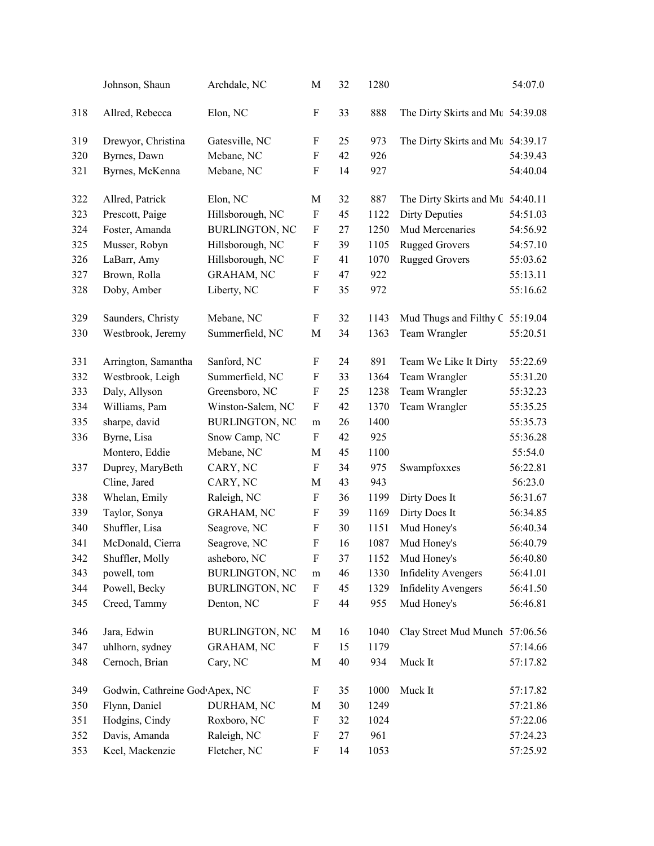|     | Johnson, Shaun                 | Archdale, NC          | M                         | 32 | 1280 |                                  | 54:07.0  |
|-----|--------------------------------|-----------------------|---------------------------|----|------|----------------------------------|----------|
| 318 | Allred, Rebecca                | Elon, NC              | F                         | 33 | 888  | The Dirty Skirts and Mt 54:39.08 |          |
| 319 | Drewyor, Christina             | Gatesville, NC        | F                         | 25 | 973  | The Dirty Skirts and Mt 54:39.17 |          |
| 320 | Byrnes, Dawn                   | Mebane, NC            | F                         | 42 | 926  |                                  | 54:39.43 |
| 321 | Byrnes, McKenna                | Mebane, NC            | $\mathbf F$               | 14 | 927  |                                  | 54:40.04 |
| 322 | Allred, Patrick                | Elon, NC              | M                         | 32 | 887  | The Dirty Skirts and Mt 54:40.11 |          |
| 323 | Prescott, Paige                | Hillsborough, NC      | $\boldsymbol{\mathrm{F}}$ | 45 | 1122 | <b>Dirty Deputies</b>            | 54:51.03 |
| 324 | Foster, Amanda                 | <b>BURLINGTON, NC</b> | F                         | 27 | 1250 | Mud Mercenaries                  | 54:56.92 |
| 325 | Musser, Robyn                  | Hillsborough, NC      | $\boldsymbol{\mathrm{F}}$ | 39 | 1105 | <b>Rugged Grovers</b>            | 54:57.10 |
| 326 | LaBarr, Amy                    | Hillsborough, NC      | F                         | 41 | 1070 | <b>Rugged Grovers</b>            | 55:03.62 |
| 327 | Brown, Rolla                   | <b>GRAHAM, NC</b>     | F                         | 47 | 922  |                                  | 55:13.11 |
| 328 | Doby, Amber                    | Liberty, NC           | $\boldsymbol{\mathrm{F}}$ | 35 | 972  |                                  | 55:16.62 |
| 329 | Saunders, Christy              | Mebane, NC            | F                         | 32 | 1143 | Mud Thugs and Filthy C           | 55:19.04 |
| 330 | Westbrook, Jeremy              | Summerfield, NC       | $\mathbf M$               | 34 | 1363 | Team Wrangler                    | 55:20.51 |
| 331 | Arrington, Samantha            | Sanford, NC           | F                         | 24 | 891  | Team We Like It Dirty            | 55:22.69 |
| 332 | Westbrook, Leigh               | Summerfield, NC       | F                         | 33 | 1364 | Team Wrangler                    | 55:31.20 |
| 333 | Daly, Allyson                  | Greensboro, NC        | $\boldsymbol{\mathrm{F}}$ | 25 | 1238 | Team Wrangler                    | 55:32.23 |
| 334 | Williams, Pam                  | Winston-Salem, NC     | $\boldsymbol{\mathrm{F}}$ | 42 | 1370 | Team Wrangler                    | 55:35.25 |
| 335 | sharpe, david                  | <b>BURLINGTON, NC</b> | m                         | 26 | 1400 |                                  | 55:35.73 |
| 336 | Byrne, Lisa                    | Snow Camp, NC         | $\boldsymbol{\mathrm{F}}$ | 42 | 925  |                                  | 55:36.28 |
|     | Montero, Eddie                 | Mebane, NC            | M                         | 45 | 1100 |                                  | 55:54.0  |
| 337 | Duprey, MaryBeth               | CARY, NC              | $\boldsymbol{\mathrm{F}}$ | 34 | 975  | Swampfoxxes                      | 56:22.81 |
|     | Cline, Jared                   | CARY, NC              | M                         | 43 | 943  |                                  | 56:23.0  |
| 338 | Whelan, Emily                  | Raleigh, NC           | $\boldsymbol{\mathrm{F}}$ | 36 | 1199 | Dirty Does It                    | 56:31.67 |
| 339 | Taylor, Sonya                  | GRAHAM, NC            | $\boldsymbol{\mathrm{F}}$ | 39 | 1169 | Dirty Does It                    | 56:34.85 |
| 340 | Shuffler, Lisa                 | Seagrove, NC          | $\boldsymbol{\mathrm{F}}$ | 30 | 1151 | Mud Honey's                      | 56:40.34 |
| 341 | McDonald, Cierra               | Seagrove, NC          | $\boldsymbol{\mathrm{F}}$ | 16 | 1087 | Mud Honey's                      | 56:40.79 |
| 342 | Shuffler, Molly                | asheboro, NC          | F                         | 37 | 1152 | Mud Honey's                      | 56:40.80 |
| 343 | powell, tom                    | <b>BURLINGTON, NC</b> | ${\rm m}$                 | 46 | 1330 | <b>Infidelity Avengers</b>       | 56:41.01 |
| 344 | Powell, Becky                  | <b>BURLINGTON, NC</b> | $\boldsymbol{F}$          | 45 | 1329 | <b>Infidelity Avengers</b>       | 56:41.50 |
| 345 | Creed, Tammy                   | Denton, NC            | $\boldsymbol{\mathrm{F}}$ | 44 | 955  | Mud Honey's                      | 56:46.81 |
| 346 | Jara, Edwin                    | <b>BURLINGTON, NC</b> | M                         | 16 | 1040 | Clay Street Mud Munch 57:06.56   |          |
| 347 | uhlhorn, sydney                | <b>GRAHAM, NC</b>     | $\boldsymbol{\mathrm{F}}$ | 15 | 1179 |                                  | 57:14.66 |
| 348 | Cernoch, Brian                 | Cary, NC              | $\mathbf M$               | 40 | 934  | Muck It                          | 57:17.82 |
| 349 | Godwin, Cathreine God Apex, NC |                       | F                         | 35 | 1000 | Muck It                          | 57:17.82 |
| 350 | Flynn, Daniel                  | DURHAM, NC            | M                         | 30 | 1249 |                                  | 57:21.86 |
| 351 | Hodgins, Cindy                 | Roxboro, NC           | $\boldsymbol{\mathrm{F}}$ | 32 | 1024 |                                  | 57:22.06 |
| 352 | Davis, Amanda                  | Raleigh, NC           | F                         | 27 | 961  |                                  | 57:24.23 |
| 353 | Keel, Mackenzie                | Fletcher, NC          | $\boldsymbol{\mathrm{F}}$ | 14 | 1053 |                                  | 57:25.92 |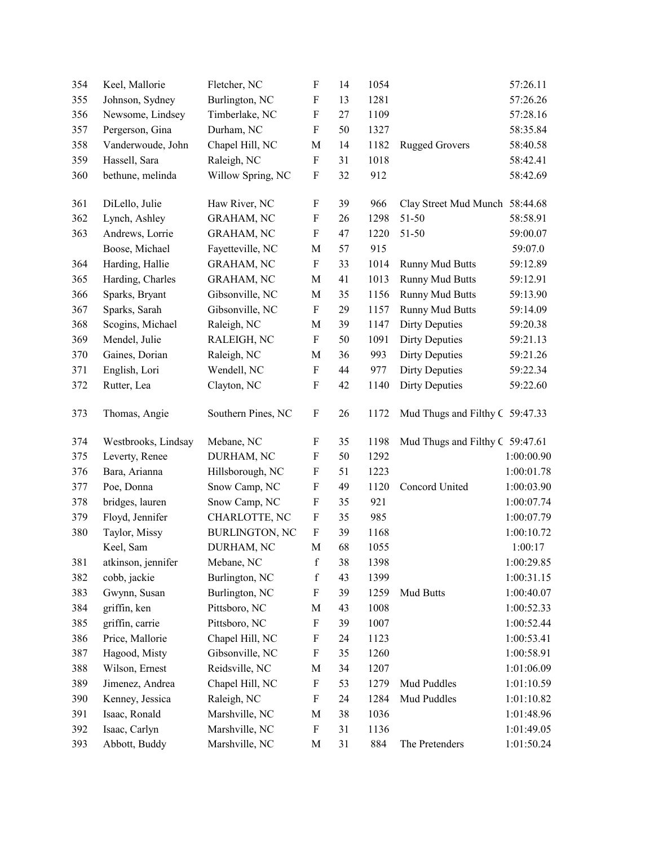| 354 | Keel, Mallorie      | Fletcher, NC          | F                         | 14 | 1054 |                                 | 57:26.11   |
|-----|---------------------|-----------------------|---------------------------|----|------|---------------------------------|------------|
| 355 | Johnson, Sydney     | Burlington, NC        | ${\bf F}$                 | 13 | 1281 |                                 | 57:26.26   |
| 356 | Newsome, Lindsey    | Timberlake, NC        | ${\bf F}$                 | 27 | 1109 |                                 | 57:28.16   |
| 357 | Pergerson, Gina     | Durham, NC            | F                         | 50 | 1327 |                                 | 58:35.84   |
| 358 | Vanderwoude, John   | Chapel Hill, NC       | $\mathbf M$               | 14 | 1182 | <b>Rugged Grovers</b>           | 58:40.58   |
| 359 | Hassell, Sara       | Raleigh, NC           | ${\bf F}$                 | 31 | 1018 |                                 | 58:42.41   |
| 360 | bethune, melinda    | Willow Spring, NC     | F                         | 32 | 912  |                                 | 58:42.69   |
| 361 | DiLello, Julie      | Haw River, NC         | F                         | 39 | 966  | Clay Street Mud Munch 58:44.68  |            |
| 362 | Lynch, Ashley       | <b>GRAHAM, NC</b>     | $\boldsymbol{\mathrm{F}}$ | 26 | 1298 | 51-50                           | 58:58.91   |
| 363 | Andrews, Lorrie     | <b>GRAHAM, NC</b>     | ${\bf F}$                 | 47 | 1220 | 51-50                           | 59:00.07   |
|     | Boose, Michael      | Fayetteville, NC      | M                         | 57 | 915  |                                 | 59:07.0    |
| 364 | Harding, Hallie     | <b>GRAHAM, NC</b>     | $\boldsymbol{\mathrm{F}}$ | 33 | 1014 | <b>Runny Mud Butts</b>          | 59:12.89   |
| 365 | Harding, Charles    | <b>GRAHAM, NC</b>     | M                         | 41 | 1013 | <b>Runny Mud Butts</b>          | 59:12.91   |
| 366 | Sparks, Bryant      | Gibsonville, NC       | $\mathbf M$               | 35 | 1156 | <b>Runny Mud Butts</b>          | 59:13.90   |
| 367 | Sparks, Sarah       | Gibsonville, NC       | F                         | 29 | 1157 | <b>Runny Mud Butts</b>          | 59:14.09   |
| 368 | Scogins, Michael    | Raleigh, NC           | $\mathbf M$               | 39 | 1147 | <b>Dirty Deputies</b>           | 59:20.38   |
| 369 | Mendel, Julie       | RALEIGH, NC           | $\boldsymbol{\mathrm{F}}$ | 50 | 1091 | <b>Dirty Deputies</b>           | 59:21.13   |
| 370 | Gaines, Dorian      | Raleigh, NC           | M                         | 36 | 993  | <b>Dirty Deputies</b>           | 59:21.26   |
| 371 | English, Lori       | Wendell, NC           | ${\bf F}$                 | 44 | 977  | <b>Dirty Deputies</b>           | 59:22.34   |
| 372 | Rutter, Lea         | Clayton, NC           | $\boldsymbol{\mathrm{F}}$ | 42 | 1140 | <b>Dirty Deputies</b>           | 59:22.60   |
| 373 | Thomas, Angie       | Southern Pines, NC    | $\boldsymbol{\mathrm{F}}$ | 26 | 1172 | Mud Thugs and Filthy C 59:47.33 |            |
| 374 | Westbrooks, Lindsay | Mebane, NC            | F                         | 35 | 1198 | Mud Thugs and Filthy C 59:47.61 |            |
| 375 | Leverty, Renee      | DURHAM, NC            | ${\bf F}$                 | 50 | 1292 |                                 | 1:00:00.90 |
| 376 | Bara, Arianna       | Hillsborough, NC      | $\boldsymbol{\mathrm{F}}$ | 51 | 1223 |                                 | 1:00:01.78 |
| 377 | Poe, Donna          | Snow Camp, NC         | ${\bf F}$                 | 49 | 1120 | Concord United                  | 1:00:03.90 |
| 378 | bridges, lauren     | Snow Camp, NC         | ${\bf F}$                 | 35 | 921  |                                 | 1:00:07.74 |
| 379 | Floyd, Jennifer     | CHARLOTTE, NC         | $\boldsymbol{\mathrm{F}}$ | 35 | 985  |                                 | 1:00:07.79 |
| 380 | Taylor, Missy       | <b>BURLINGTON, NC</b> | $\boldsymbol{\mathrm{F}}$ | 39 | 1168 |                                 | 1:00:10.72 |
|     | Keel, Sam           | DURHAM, NC            | M                         | 68 | 1055 |                                 | 1:00:17    |
| 381 | atkinson, jennifer  | Mebane, NC            | $\mathbf f$               | 38 | 1398 |                                 | 1:00:29.85 |
| 382 | cobb, jackie        | Burlington, NC        | $\mathbf f$               | 43 | 1399 |                                 | 1:00:31.15 |
| 383 | Gwynn, Susan        | Burlington, NC        | F                         | 39 | 1259 | Mud Butts                       | 1:00:40.07 |
| 384 | griffin, ken        | Pittsboro, NC         | M                         | 43 | 1008 |                                 | 1:00:52.33 |
| 385 | griffin, carrie     | Pittsboro, NC         | F                         | 39 | 1007 |                                 | 1:00:52.44 |
| 386 | Price, Mallorie     | Chapel Hill, NC       | $\boldsymbol{\mathrm{F}}$ | 24 | 1123 |                                 | 1:00:53.41 |
| 387 | Hagood, Misty       | Gibsonville, NC       | F                         | 35 | 1260 |                                 | 1:00:58.91 |
| 388 | Wilson, Ernest      | Reidsville, NC        | M                         | 34 | 1207 |                                 | 1:01:06.09 |
| 389 | Jimenez, Andrea     | Chapel Hill, NC       | ${\bf F}$                 | 53 | 1279 | Mud Puddles                     | 1:01:10.59 |
| 390 | Kenney, Jessica     | Raleigh, NC           | $\boldsymbol{\mathrm{F}}$ | 24 | 1284 | Mud Puddles                     | 1:01:10.82 |
| 391 | Isaac, Ronald       | Marshville, NC        | M                         | 38 | 1036 |                                 | 1:01:48.96 |
| 392 | Isaac, Carlyn       | Marshville, NC        | F                         | 31 | 1136 |                                 | 1:01:49.05 |
| 393 | Abbott, Buddy       | Marshville, NC        | M                         | 31 | 884  | The Pretenders                  | 1:01:50.24 |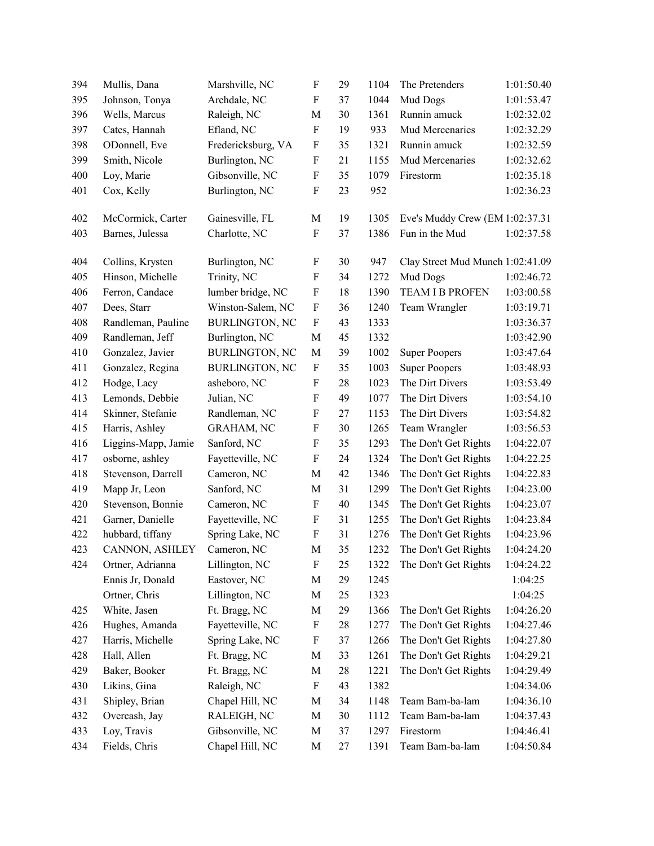| 394 | Mullis, Dana        | Marshville, NC        | F                         | 29 | 1104 | The Pretenders                   | 1:01:50.40 |
|-----|---------------------|-----------------------|---------------------------|----|------|----------------------------------|------------|
| 395 | Johnson, Tonya      | Archdale, NC          | ${\bf F}$                 | 37 | 1044 | Mud Dogs                         | 1:01:53.47 |
| 396 | Wells, Marcus       | Raleigh, NC           | M                         | 30 | 1361 | Runnin amuck                     | 1:02:32.02 |
| 397 | Cates, Hannah       | Efland, NC            | F                         | 19 | 933  | Mud Mercenaries                  | 1:02:32.29 |
| 398 | ODonnell, Eve       | Fredericksburg, VA    | F                         | 35 | 1321 | Runnin amuck                     | 1:02:32.59 |
| 399 | Smith, Nicole       | Burlington, NC        | ${\bf F}$                 | 21 | 1155 | Mud Mercenaries                  | 1:02:32.62 |
| 400 | Loy, Marie          | Gibsonville, NC       | F                         | 35 | 1079 | Firestorm                        | 1:02:35.18 |
| 401 | Cox, Kelly          | Burlington, NC        | ${\bf F}$                 | 23 | 952  |                                  | 1:02:36.23 |
|     |                     |                       |                           |    |      |                                  |            |
| 402 | McCormick, Carter   | Gainesville, FL       | M                         | 19 | 1305 | Eve's Muddy Crew (EM 1:02:37.31  |            |
| 403 | Barnes, Julessa     | Charlotte, NC         | F                         | 37 | 1386 | Fun in the Mud                   | 1:02:37.58 |
| 404 | Collins, Krysten    | Burlington, NC        | F                         | 30 | 947  | Clay Street Mud Munch 1:02:41.09 |            |
| 405 | Hinson, Michelle    | Trinity, NC           | F                         | 34 | 1272 | Mud Dogs                         | 1:02:46.72 |
| 406 | Ferron, Candace     | lumber bridge, NC     | F                         | 18 | 1390 | <b>TEAM I B PROFEN</b>           | 1:03:00.58 |
| 407 | Dees, Starr         | Winston-Salem, NC     | $\boldsymbol{\mathrm{F}}$ | 36 | 1240 | Team Wrangler                    | 1:03:19.71 |
| 408 | Randleman, Pauline  | <b>BURLINGTON, NC</b> | $\boldsymbol{\mathrm{F}}$ | 43 | 1333 |                                  | 1:03:36.37 |
| 409 | Randleman, Jeff     | Burlington, NC        | M                         | 45 | 1332 |                                  | 1:03:42.90 |
| 410 | Gonzalez, Javier    | <b>BURLINGTON, NC</b> | M                         | 39 | 1002 | <b>Super Poopers</b>             | 1:03:47.64 |
| 411 | Gonzalez, Regina    | <b>BURLINGTON, NC</b> | F                         | 35 | 1003 | <b>Super Poopers</b>             | 1:03:48.93 |
| 412 | Hodge, Lacy         | asheboro, NC          | F                         | 28 | 1023 | The Dirt Divers                  | 1:03:53.49 |
| 413 | Lemonds, Debbie     | Julian, NC            | ${\bf F}$                 | 49 | 1077 | The Dirt Divers                  | 1:03:54.10 |
| 414 | Skinner, Stefanie   | Randleman, NC         | F                         | 27 | 1153 | The Dirt Divers                  | 1:03:54.82 |
| 415 | Harris, Ashley      | <b>GRAHAM, NC</b>     | ${\bf F}$                 | 30 | 1265 | Team Wrangler                    | 1:03:56.53 |
| 416 | Liggins-Mapp, Jamie | Sanford, NC           | F                         | 35 | 1293 | The Don't Get Rights             | 1:04:22.07 |
| 417 | osborne, ashley     | Fayetteville, NC      | $\boldsymbol{\mathrm{F}}$ | 24 | 1324 | The Don't Get Rights             | 1:04:22.25 |
| 418 | Stevenson, Darrell  | Cameron, NC           | M                         | 42 | 1346 | The Don't Get Rights             | 1:04:22.83 |
| 419 | Mapp Jr, Leon       | Sanford, NC           | $\mathbf M$               | 31 | 1299 | The Don't Get Rights             | 1:04:23.00 |
| 420 | Stevenson, Bonnie   | Cameron, NC           | $\boldsymbol{\mathrm{F}}$ | 40 | 1345 | The Don't Get Rights             | 1:04:23.07 |
| 421 | Garner, Danielle    | Fayetteville, NC      | ${\bf F}$                 | 31 | 1255 | The Don't Get Rights             | 1:04:23.84 |
| 422 | hubbard, tiffany    | Spring Lake, NC       | F                         | 31 | 1276 | The Don't Get Rights             | 1:04:23.96 |
| 423 | CANNON, ASHLEY      | Cameron, NC           | M                         | 35 | 1232 | The Don't Get Rights             | 1:04:24.20 |
| 424 | Ortner, Adrianna    | Lillington, NC        | F                         | 25 | 1322 | The Don't Get Rights             | 1:04:24.22 |
|     | Ennis Jr, Donald    | Eastover, NC          | M                         | 29 | 1245 |                                  | 1:04:25    |
|     | Ortner, Chris       | Lillington, NC        | $\mathbf M$               | 25 | 1323 |                                  | 1:04:25    |
| 425 | White, Jasen        | Ft. Bragg, NC         | M                         | 29 | 1366 | The Don't Get Rights             | 1:04:26.20 |
| 426 | Hughes, Amanda      | Fayetteville, NC      | F                         | 28 | 1277 | The Don't Get Rights             | 1:04:27.46 |
| 427 | Harris, Michelle    | Spring Lake, NC       | ${\bf F}$                 | 37 | 1266 | The Don't Get Rights             | 1:04:27.80 |
| 428 | Hall, Allen         | Ft. Bragg, NC         | M                         | 33 | 1261 | The Don't Get Rights             | 1:04:29.21 |
| 429 | Baker, Booker       | Ft. Bragg, NC         | $\mathbf M$               | 28 | 1221 | The Don't Get Rights             | 1:04:29.49 |
| 430 | Likins, Gina        | Raleigh, NC           | F                         | 43 | 1382 |                                  | 1:04:34.06 |
| 431 | Shipley, Brian      | Chapel Hill, NC       | M                         | 34 | 1148 | Team Bam-ba-lam                  | 1:04:36.10 |
| 432 | Overcash, Jay       | RALEIGH, NC           | $\mathbf M$               | 30 | 1112 | Team Bam-ba-lam                  | 1:04:37.43 |
| 433 | Loy, Travis         | Gibsonville, NC       | $\mathbf M$               | 37 | 1297 | Firestorm                        | 1:04:46.41 |
| 434 | Fields, Chris       | Chapel Hill, NC       | M                         | 27 | 1391 | Team Bam-ba-lam                  | 1:04:50.84 |